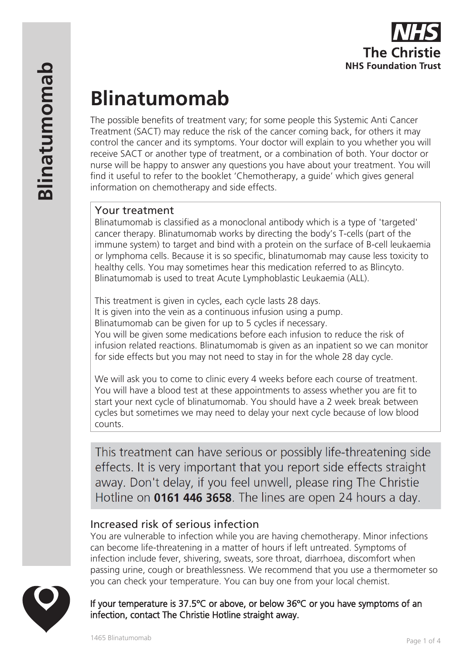

# **Blinatumomab**

The possible benefits of treatment vary; for some people this Systemic Anti Cancer Treatment (SACT) may reduce the risk of the cancer coming back, for others it may control the cancer and its symptoms. Your doctor will explain to you whether you will receive SACT or another type of treatment, or a combination of both. Your doctor or nurse will be happy to answer any questions you have about your treatment. You will find it useful to refer to the booklet 'Chemotherapy, a guide' which gives general information on chemotherapy and side effects.

# Your treatment

Blinatumomab is classified as a monoclonal antibody which is a type of 'targeted' cancer therapy. Blinatumomab works by directing the body's T-cells (part of the immune system) to target and bind with a protein on the surface of B-cell leukaemia or lymphoma cells. Because it is so specific, blinatumomab may cause less toxicity to healthy cells. You may sometimes hear this medication referred to as Blincyto. Blinatumomab is used to treat Acute Lymphoblastic Leukaemia (ALL).

This treatment is given in cycles, each cycle lasts 28 days. It is given into the vein as a continuous infusion using a pump. Blinatumomab can be given for up to 5 cycles if necessary. You will be given some medications before each infusion to reduce the risk of infusion related reactions. Blinatumomab is given as an inpatient so we can monitor for side effects but you may not need to stay in for the whole 28 day cycle.

We will ask you to come to clinic every 4 weeks before each course of treatment. You will have a blood test at these appointments to assess whether you are fit to start your next cycle of blinatumomab. You should have a 2 week break between cycles but sometimes we may need to delay your next cycle because of low blood counts.

This treatment can have serious or possibly life-threatening side effects. It is very important that you report side effects straight away. Don't delay, if you feel unwell, please ring The Christie Hotline on 0161 446 3658. The lines are open 24 hours a day.

# Increased risk of serious infection

You are vulnerable to infection while you are having chemotherapy. Minor infections can become life-threatening in a matter of hours if left untreated. Symptoms of infection include fever, shivering, sweats, sore throat, diarrhoea, discomfort when passing urine, cough or breathlessness. We recommend that you use a thermometer so you can check your temperature. You can buy one from your local chemist.



If your temperature is 37.5ºC or above, or below 36ºC or you have symptoms of an infection, contact The Christie Hotline straight away.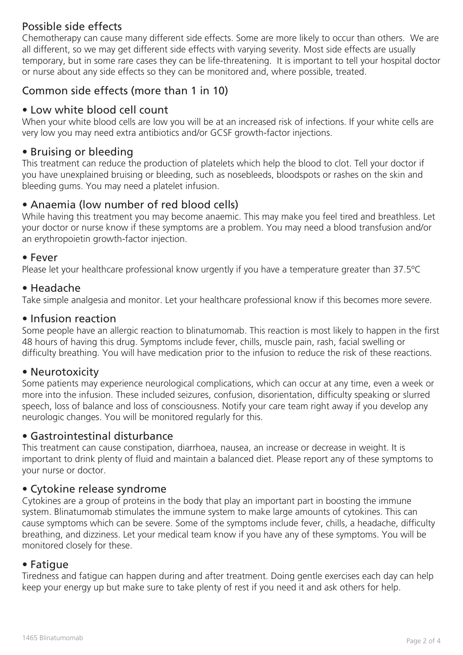# Possible side effects

Chemotherapy can cause many different side effects. Some are more likely to occur than others. We are all different, so we may get different side effects with varying severity. Most side effects are usually temporary, but in some rare cases they can be life-threatening. It is important to tell your hospital doctor or nurse about any side effects so they can be monitored and, where possible, treated.

# Common side effects (more than 1 in 10)

# • Low white blood cell count

When your white blood cells are low you will be at an increased risk of infections. If your white cells are very low you may need extra antibiotics and/or GCSF growth-factor injections.

## • Bruising or bleeding

This treatment can reduce the production of platelets which help the blood to clot. Tell your doctor if you have unexplained bruising or bleeding, such as nosebleeds, bloodspots or rashes on the skin and bleeding gums. You may need a platelet infusion.

# • Anaemia (low number of red blood cells)

While having this treatment you may become anaemic. This may make you feel tired and breathless. Let your doctor or nurse know if these symptoms are a problem. You may need a blood transfusion and/or an erythropoietin growth-factor injection.

#### • Fever

Please let your healthcare professional know urgently if you have a temperature greater than 37.5ºC

#### • Headache

Take simple analgesia and monitor. Let your healthcare professional know if this becomes more severe.

#### • Infusion reaction

Some people have an allergic reaction to blinatumomab. This reaction is most likely to happen in the first 48 hours of having this drug. Symptoms include fever, chills, muscle pain, rash, facial swelling or difficulty breathing. You will have medication prior to the infusion to reduce the risk of these reactions.

## • Neurotoxicity

Some patients may experience neurological complications, which can occur at any time, even a week or more into the infusion. These included seizures, confusion, disorientation, difficulty speaking or slurred speech, loss of balance and loss of consciousness. Notify your care team right away if you develop any neurologic changes. You will be monitored regularly for this.

## • Gastrointestinal disturbance

This treatment can cause constipation, diarrhoea, nausea, an increase or decrease in weight. It is important to drink plenty of fluid and maintain a balanced diet. Please report any of these symptoms to your nurse or doctor.

#### • Cytokine release syndrome

Cytokines are a group of proteins in the body that play an important part in boosting the immune system. Blinatumomab stimulates the immune system to make large amounts of cytokines. This can cause symptoms which can be severe. Some of the symptoms include fever, chills, a headache, difficulty breathing, and dizziness. Let your medical team know if you have any of these symptoms. You will be monitored closely for these.

#### • Fatigue

Tiredness and fatigue can happen during and after treatment. Doing gentle exercises each day can help keep your energy up but make sure to take plenty of rest if you need it and ask others for help.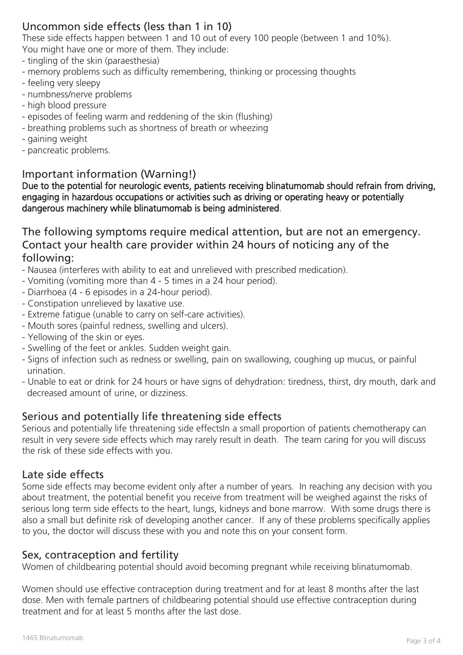# Uncommon side effects (less than 1 in 10)

These side effects happen between 1 and 10 out of every 100 people (between 1 and 10%). You might have one or more of them. They include:

- tingling of the skin (paraesthesia)
- memory problems such as difficulty remembering, thinking or processing thoughts
- feeling very sleepy
- numbness/nerve problems
- high blood pressure
- episodes of feeling warm and reddening of the skin (flushing)
- breathing problems such as shortness of breath or wheezing
- gaining weight
- pancreatic problems.

# Important information (Warning!)

Due to the potential for neurologic events, patients receiving blinatumomab should refrain from driving, engaging in hazardous occupations or activities such as driving or operating heavy or potentially dangerous machinery while blinatumomab is being administered.

The following symptoms require medical attention, but are not an emergency. Contact your health care provider within 24 hours of noticing any of the following:

- Nausea (interferes with ability to eat and unrelieved with prescribed medication).

- Vomiting (vomiting more than 4 5 times in a 24 hour period).
- Diarrhoea (4 6 episodes in a 24-hour period).
- Constipation unrelieved by laxative use.
- Extreme fatigue (unable to carry on self-care activities).
- Mouth sores (painful redness, swelling and ulcers).
- Yellowing of the skin or eyes.
- Swelling of the feet or ankles. Sudden weight gain.
- Signs of infection such as redness or swelling, pain on swallowing, coughing up mucus, or painful urination.
- Unable to eat or drink for 24 hours or have signs of dehydration: tiredness, thirst, dry mouth, dark and decreased amount of urine, or dizziness.

# Serious and potentially life threatening side effects

Serious and potentially life threatening side effectsIn a small proportion of patients chemotherapy can result in very severe side effects which may rarely result in death. The team caring for you will discuss the risk of these side effects with you.

## Late side effects

Some side effects may become evident only after a number of years. In reaching any decision with you about treatment, the potential benefit you receive from treatment will be weighed against the risks of serious long term side effects to the heart, lungs, kidneys and bone marrow. With some drugs there is also a small but definite risk of developing another cancer. If any of these problems specifically applies to you, the doctor will discuss these with you and note this on your consent form.

# Sex, contraception and fertility

Women of childbearing potential should avoid becoming pregnant while receiving blinatumomab.

Women should use effective contraception during treatment and for at least 8 months after the last dose. Men with female partners of childbearing potential should use effective contraception during treatment and for at least 5 months after the last dose.